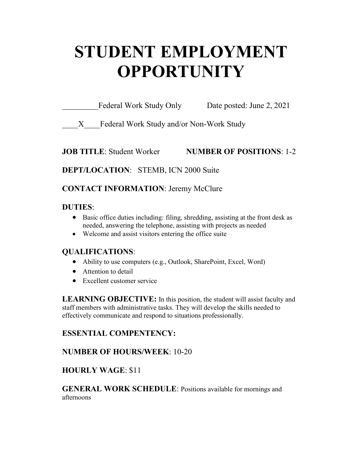# **STUDENT EMPLOYMENT OPPORTUNITY**

| Federal Work Study Only | Date posted: June 2, 2021 |
|-------------------------|---------------------------|
|                         |                           |

X Federal Work Study and/or Non-Work Study

# **JOB TITLE**: Student Worker **NUMBER OF POSITIONS**: 1-2

# **DEPT/LOCATION**: STEMB, ICN 2000 Suite

# **CONTACT INFORMATION**: Jeremy McClure

#### **DUTIES**:

- Basic office duties including: filing, shredding, assisting at the front desk as needed, answering the telephone, assisting with projects as needed
- Welcome and assist visitors entering the office suite

# **QUALIFICATIONS**:

- Ability to use computers (e.g., Outlook, SharePoint, Excel, Word)
- Attention to detail
- Excellent customer service

**LEARNING OBJECTIVE:** In this position, the student will assist faculty and staff members with administrative tasks. They will develop the skills needed to effectively communicate and respond to situations professionally.

#### **ESSENTIAL COMPENTENCY:**

# **NUMBER OF HOURS/WEEK**: 10-20

# **HOURLY WAGE**: \$11

**GENERAL WORK SCHEDULE**: Positions available for mornings and afternoons